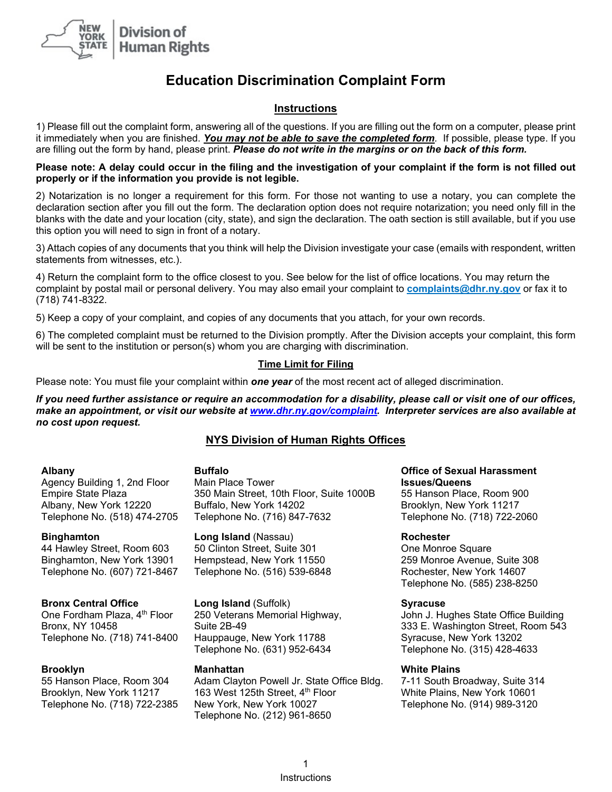

# **Education Discrimination Complaint Form**

#### **Instructions**

1) Please fill out the complaint form, answering all of the questions. If you are filling out the form on a computer, please print it immediately when you are finished. *You may not be able to save the completed form.* If possible, please type. If you are filling out the form by hand, please print. *Please do not write in the margins or on the back of this form.*

**Please note: A delay could occur in the filing and the investigation of your complaint if the form is not filled out properly or if the information you provide is not legible.**

2) Notarization is no longer a requirement for this form. For those not wanting to use a notary, you can complete the declaration section after you fill out the form. The declaration option does not require notarization; you need only fill in the blanks with the date and your location (city, state), and sign the declaration. The oath section is still available, but if you use this option you will need to sign in front of a notary.

3) Attach copies of any documents that you think will help the Division investigate your case (emails with respondent, written statements from witnesses, etc.).

4) Return the complaint form to the office closest to you. See below for the list of off[ice locations. You may retu](mailto:complaints@dhr.ny.gov)rn the complaint by postal mail or personal delivery. You may also email your complaint to **complaints@dhr.ny.gov** or fax it to (718) 741-8322.

5) Keep a copy of your complaint, and copies of any documents that you attach, for your own records.

6) The completed complaint must be returned to the Division promptly. After the Division accepts your complaint, this form will be sent to the institution or person(s) whom you are charging with discrimination.

#### **Time Limit for Filing**

Please note: You must file your complaint within *one year* of the most recent act of alleged discrimination.

*If you need further assistance or require an accommodation for a disability, please call or visit one of our offices, make an appointment, or visit our website at www.dhr.ny.gov/complaint. Interpreter services are also available at no cost upon request.*

#### **NYS Division of Human Rights Offices**

#### **Albany**

Agency Building 1, 2nd Floor Empire State Plaza Albany, New York 12220 Telephone No. (518) 474-2705

#### **Binghamton**

44 Hawley Street, Room 603 Binghamton, New York 13901 Telephone No. (607) 721-8467

#### **Bronx Central Office**

One Fordham Plaza, 4<sup>th</sup> Floor Bronx, NY 10458 Telephone No. (718) 741-8400

#### **Brooklyn**

55 Hanson Place, Room 304 Brooklyn, New York 11217 Telephone No. (718) 722-2385

#### **Buffalo**

Main Place Tower 350 Main Street, 10th Floor, Suite 1000B Buffalo, New York 14202 Telephone No. (716) 847-7632

**Long Island** (Nassau) 50 Clinton Street, Suite 301 Hempstead, New York 11550 Telephone No. (516) 539-6848

**Long Island** (Suffolk) 250 Veterans Memorial Highway, Suite 2B-49

Hauppauge, New York 11788 Telephone No. (631) 952-6434

#### **Manhattan**

Adam Clayton Powell Jr. State Office Bldg. 163 West 125th Street, 4<sup>th</sup> Floor New York, New York 10027 Telephone No. (212) 961-8650

**Office of Sexual Harassment Issues/Queens** 55 Hanson Place, Room 900

Brooklyn, New York 11217 Telephone No. (718) 722-2060

#### **Rochester**

One Monroe Square 259 Monroe Avenue, Suite 308 Rochester, New York 14607 Telephone No. (585) 238-8250

#### **Syracuse**

John J. Hughes State Office Building 333 E. Washington Street, Room 543 Syracuse, New York 13202 Telephone No. (315) 428-4633

#### **White Plains**

7-11 South Broadway, Suite 314 White Plains, New York 10601 Telephone No. (914) 989-3120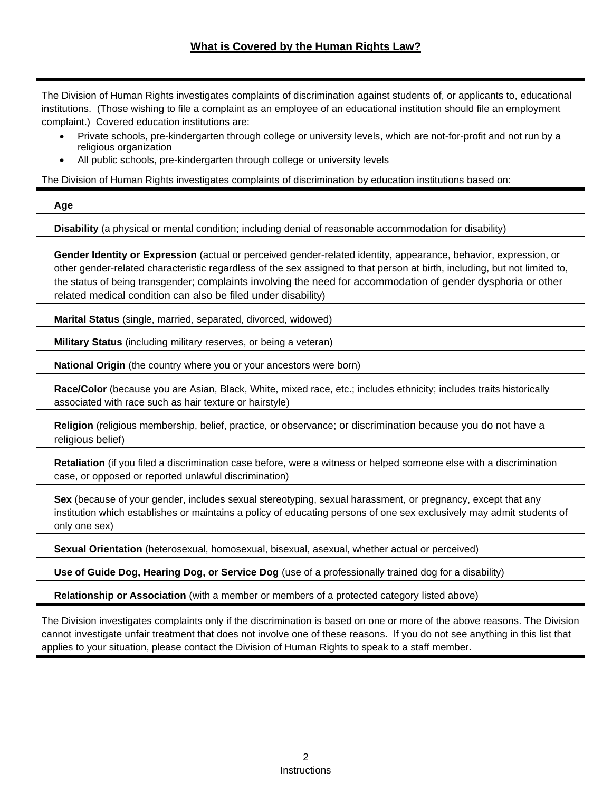The Division of Human Rights investigates complaints of discrimination against students of, or applicants to, educational institutions. (Those wishing to file a complaint as an employee of an educational institution should file an employment complaint.) Covered education institutions are:

- Private schools, pre-kindergarten through college or university levels, which are not-for-profit and not run by a religious organization
- All public schools, pre-kindergarten through college or university levels

The Division of Human Rights investigates complaints of discrimination by education institutions based on:

**Age**

**Disability** (a physical or mental condition; including denial of reasonable accommodation for disability)

**Gender Identity or Expression** (actual or perceived gender-related identity, appearance, behavior, expression, or other gender-related characteristic regardless of the sex assigned to that person at birth, including, but not limited to, the status of being transgender; complaints involving the need for accommodation of gender dysphoria or other related medical condition can also be filed under disability)

**Marital Status** (single, married, separated, divorced, widowed)

**Military Status** (including military reserves, or being a veteran)

**National Origin** (the country where you or your ancestors were born)

**Race/Color** (because you are Asian, Black, White, mixed race, etc.; includes ethnicity; includes traits historically associated with race such as hair texture or hairstyle)

**Religion** (religious membership, belief, practice, or observance; or discrimination because you do not have a religious belief)

**Retaliation** (if you filed a discrimination case before, were a witness or helped someone else with a discrimination case, or opposed or reported unlawful discrimination)

**Sex** (because of your gender, includes sexual stereotyping, sexual harassment, or pregnancy, except that any institution which establishes or maintains a policy of educating persons of one sex exclusively may admit students of only one sex)

**Sexual Orientation** (heterosexual, homosexual, bisexual, asexual, whether actual or perceived)

**Use of Guide Dog, Hearing Dog, or Service Dog** (use of a professionally trained dog for a disability)

**Relationship or Association** (with a member or members of a protected category listed above)

The Division investigates complaints only if the discrimination is based on one or more of the above reasons. The Division cannot investigate unfair treatment that does not involve one of these reasons. If you do not see anything in this list that applies to your situation, please contact the Division of Human Rights to speak to a staff member.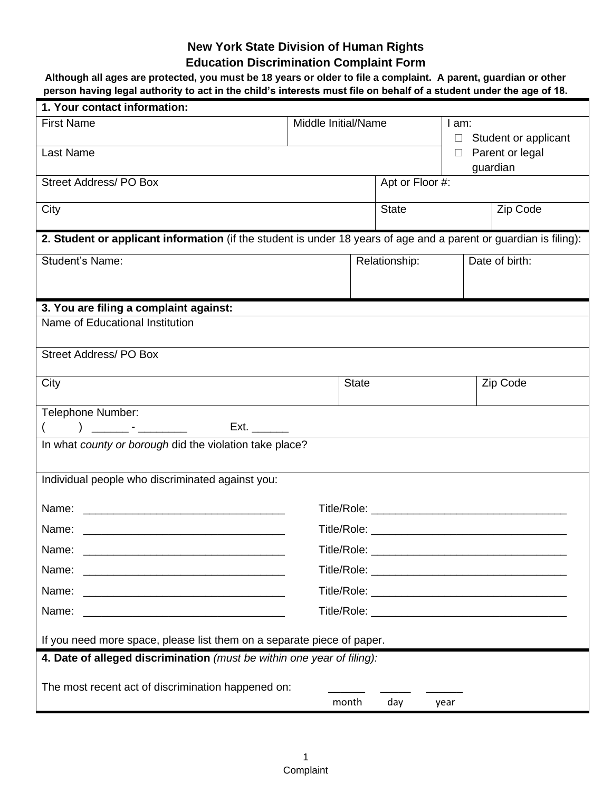## **New York State Division of Human Rights Education Discrimination Complaint Form**

## **Although all ages are protected, you must be 18 years or older to file a complaint. A parent, guardian or other person having legal authority to act in the child's interests must file on behalf of a student under the age of 18.**

| 1. Your contact information:                                                                                                   |                     |              |                 |        |                      |
|--------------------------------------------------------------------------------------------------------------------------------|---------------------|--------------|-----------------|--------|----------------------|
| <b>First Name</b>                                                                                                              | Middle Initial/Name |              | I am:           |        |                      |
|                                                                                                                                |                     |              |                 | $\Box$ | Student or applicant |
| Last Name                                                                                                                      |                     |              |                 | $\Box$ | Parent or legal      |
|                                                                                                                                |                     |              |                 |        | guardian             |
| <b>Street Address/PO Box</b>                                                                                                   |                     |              | Apt or Floor #: |        |                      |
| City                                                                                                                           |                     |              | <b>State</b>    |        | Zip Code             |
| 2. Student or applicant information (if the student is under 18 years of age and a parent or guardian is filing):              |                     |              |                 |        |                      |
| <b>Student's Name:</b>                                                                                                         |                     |              | Relationship:   |        | Date of birth:       |
|                                                                                                                                |                     |              |                 |        |                      |
|                                                                                                                                |                     |              |                 |        |                      |
| 3. You are filing a complaint against:                                                                                         |                     |              |                 |        |                      |
| Name of Educational Institution                                                                                                |                     |              |                 |        |                      |
| <b>Street Address/PO Box</b>                                                                                                   |                     |              |                 |        |                      |
|                                                                                                                                |                     |              |                 |        |                      |
| City                                                                                                                           |                     | <b>State</b> |                 |        | Zip Code             |
|                                                                                                                                |                     |              |                 |        |                      |
| Telephone Number:                                                                                                              |                     |              |                 |        |                      |
| Ext.                                                                                                                           |                     |              |                 |        |                      |
| In what county or borough did the violation take place?                                                                        |                     |              |                 |        |                      |
|                                                                                                                                |                     |              |                 |        |                      |
| Individual people who discriminated against you:                                                                               |                     |              |                 |        |                      |
|                                                                                                                                |                     |              |                 |        |                      |
| Name:                                                                                                                          |                     |              |                 |        |                      |
| Name:                                                                                                                          |                     |              |                 |        |                      |
|                                                                                                                                |                     |              |                 |        |                      |
| Name:<br><u> 2000 - Jan James James James James James James James James James James James James James James James James Ja</u> |                     |              |                 |        |                      |
| Name:                                                                                                                          |                     |              |                 |        |                      |
| Name:                                                                                                                          |                     |              |                 |        |                      |
| If you need more space, please list them on a separate piece of paper.                                                         |                     |              |                 |        |                      |
| 4. Date of alleged discrimination (must be within one year of filing):                                                         |                     |              |                 |        |                      |
|                                                                                                                                |                     |              |                 |        |                      |
| The most recent act of discrimination happened on:                                                                             |                     |              |                 |        |                      |
|                                                                                                                                | month               |              | day             | year   |                      |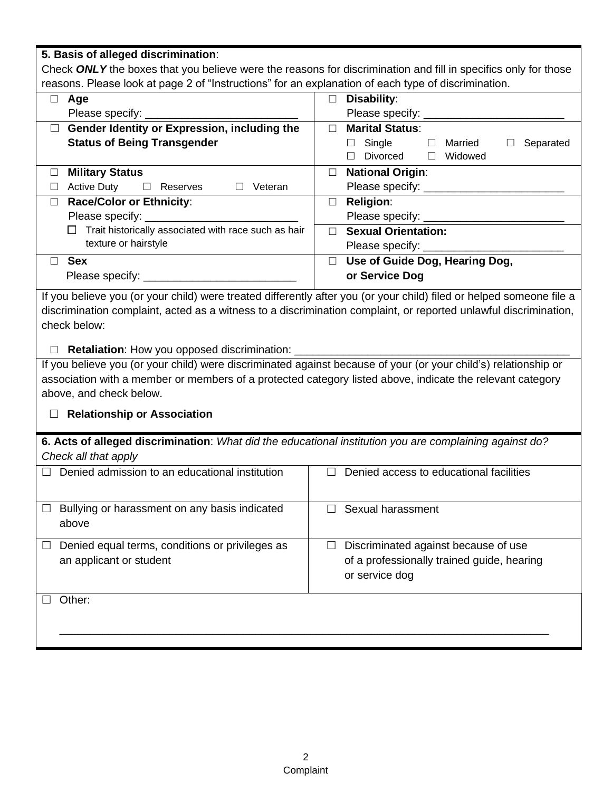| 5. Basis of alleged discrimination:                                                                                  |                                                   |
|----------------------------------------------------------------------------------------------------------------------|---------------------------------------------------|
| Check ONLY the boxes that you believe were the reasons for discrimination and fill in specifics only for those       |                                                   |
| reasons. Please look at page 2 of "Instructions" for an explanation of each type of discrimination.                  |                                                   |
| Age<br>$\Box$                                                                                                        | $\Box$ Disability:                                |
|                                                                                                                      | Please specify: _________                         |
| $\Box$ Gender Identity or Expression, including the                                                                  | <b>Marital Status:</b><br>$\Box$                  |
| <b>Status of Being Transgender</b>                                                                                   | $\Box$ Single<br>□ Married<br>Separated<br>$\Box$ |
|                                                                                                                      | □ Divorced □ Widowed                              |
| <b>Military Status</b><br>$\Box$                                                                                     | □ National Origin:                                |
| Active Duty □ Reserves<br>$\Box$ Veteran<br>$\Box$                                                                   |                                                   |
| Race/Color or Ethnicity:<br>$\Box$                                                                                   | <b>Religion:</b><br>$\Box$                        |
| Please specify: _________                                                                                            |                                                   |
| Trait historically associated with race such as hair                                                                 | □ Sexual Orientation:                             |
| texture or hairstyle                                                                                                 |                                                   |
| $\Box$ Sex                                                                                                           | □ Use of Guide Dog, Hearing Dog,                  |
|                                                                                                                      | or Service Dog                                    |
| If you believe you (or your child) were treated differently after you (or your child) filed or helped someone file a |                                                   |
| discrimination complaint, acted as a witness to a discrimination complaint, or reported unlawful discrimination,     |                                                   |
| check below:                                                                                                         |                                                   |
|                                                                                                                      |                                                   |
| □ Retaliation: How you opposed discrimination: _________                                                             |                                                   |
| If you believe you (or your child) were discriminated against because of your (or your child's) relationship or      |                                                   |
| association with a member or members of a protected category listed above, indicate the relevant category            |                                                   |
| above, and check below.                                                                                              |                                                   |
| <b>Relationship or Association</b>                                                                                   |                                                   |
|                                                                                                                      |                                                   |
| 6. Acts of alleged discrimination: What did the educational institution you are complaining against do?              |                                                   |
| Check all that apply                                                                                                 |                                                   |
| $\Box$ Denied admission to an educational institution                                                                | $\Box$ Denied access to educational facilities    |
|                                                                                                                      |                                                   |
|                                                                                                                      |                                                   |
| Bullying or harassment on any basis indicated                                                                        | Sexual harassment                                 |
| above                                                                                                                |                                                   |
| $\Box$ Denied equal terms, conditions or privileges as                                                               | Discriminated against because of use<br>$\Box$    |
| an applicant or student                                                                                              | of a professionally trained guide, hearing        |
|                                                                                                                      | or service dog                                    |
|                                                                                                                      |                                                   |
| Other:                                                                                                               |                                                   |
|                                                                                                                      |                                                   |
|                                                                                                                      |                                                   |
|                                                                                                                      |                                                   |
|                                                                                                                      |                                                   |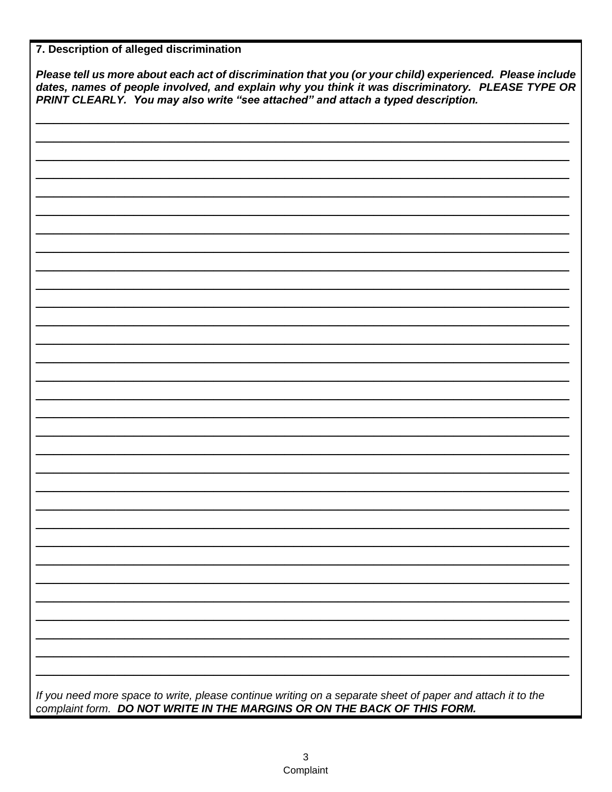| 7. Description of alleged discrimination |  |  |  |  |  |
|------------------------------------------|--|--|--|--|--|
|------------------------------------------|--|--|--|--|--|

Please tell us more about each act of discrimination that you (or your child) experienced. Please include<br>dates, names of people involved, and explain why you think it was discriminatory. PLEASE TYPE OR<br>PRINT CLEARLY. You

| If you need more space to write, please continue writing on a separate sheet of paper and attach it to the complaint form. DO NOT WRITE IN THE MARGINS OR ON THE BACK OF THIS FORM. |  |  |
|-------------------------------------------------------------------------------------------------------------------------------------------------------------------------------------|--|--|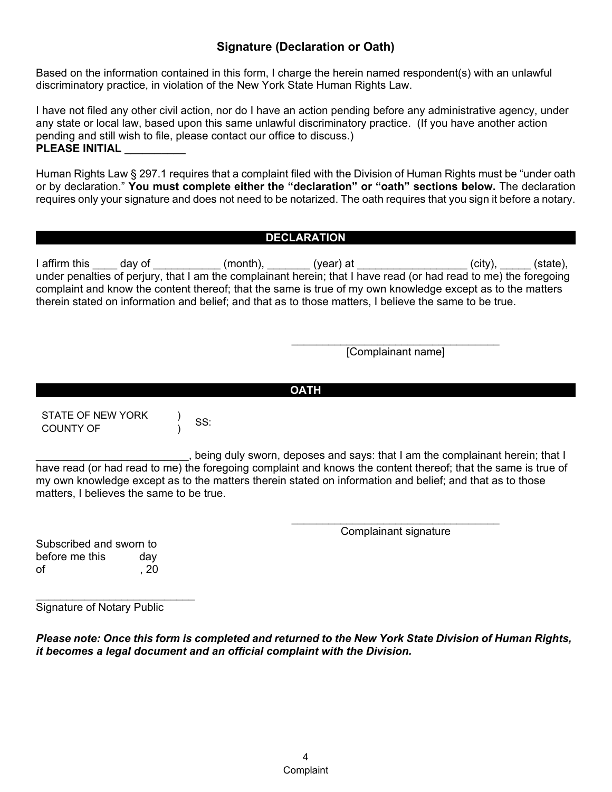## **Signature (Declaration or Oath)**

Based on the information contained in this form, I charge the herein named respondent(s) with an unlawful discriminatory practice, in violation of the New York State Human Rights Law.

I have not filed any other civil action, nor do I have an action pending before any administrative agency, under any state or local law, based upon this same unlawful discriminatory practice. (If you have another action pending and still wish to file, please contact our office to discuss.) **PLEASE INITIAL \_\_\_\_\_\_\_\_\_\_**

Human Rights Law § 297.1 requires that a complaint filed with the Division of Human Rights must be "under oath or by declaration." **You must complete either the "declaration" or "oath" sections below.** The declaration requires only your signature and does not need to be notarized. The oath requires that you sign it before a notary.

### **DECLARATION**

I affirm this \_\_\_\_ day of \_\_\_\_\_\_\_\_\_\_\_\_ (month), \_\_\_\_\_\_\_ (year) at \_\_\_\_\_\_\_\_\_\_\_\_\_\_\_\_\_\_(city), \_\_\_\_\_ (state), under penalties of perjury, that I am the complainant herein; that I have read (or had read to me) the foregoing complaint and know the content thereof; that the same is true of my own knowledge except as to the matters therein stated on information and belief; and that as to those matters, I believe the same to be true.

> \_\_\_\_\_\_\_\_\_\_\_\_\_\_\_\_\_\_\_\_\_\_\_\_\_\_\_\_\_\_\_\_\_\_ [Complainant name]

STATE OF NEW YORK COUNTY OF

) SS:

, being duly sworn, deposes and says: that I am the complainant herein; that I have read (or had read to me) the foregoing complaint and knows the content thereof; that the same is true of my own knowledge except as to the matters therein stated on information and belief; and that as to those matters, I believes the same to be true.

**OATH**

\_\_\_\_\_\_\_\_\_\_\_\_\_\_\_\_\_\_\_\_\_\_\_\_\_\_\_\_\_\_\_\_\_\_ Complainant signature

Subscribed and sworn to before me this day of , 20

 $\frac{1}{2}$  ,  $\frac{1}{2}$  ,  $\frac{1}{2}$  ,  $\frac{1}{2}$  ,  $\frac{1}{2}$  ,  $\frac{1}{2}$  ,  $\frac{1}{2}$  ,  $\frac{1}{2}$  ,  $\frac{1}{2}$  ,  $\frac{1}{2}$  ,  $\frac{1}{2}$  ,  $\frac{1}{2}$  ,  $\frac{1}{2}$  ,  $\frac{1}{2}$  ,  $\frac{1}{2}$  ,  $\frac{1}{2}$  ,  $\frac{1}{2}$  ,  $\frac{1}{2}$  ,  $\frac{1$ Signature of Notary Public

*Please note: Once this form is completed and returned to the New York State Division of Human Rights, it becomes a legal document and an official complaint with the Division.*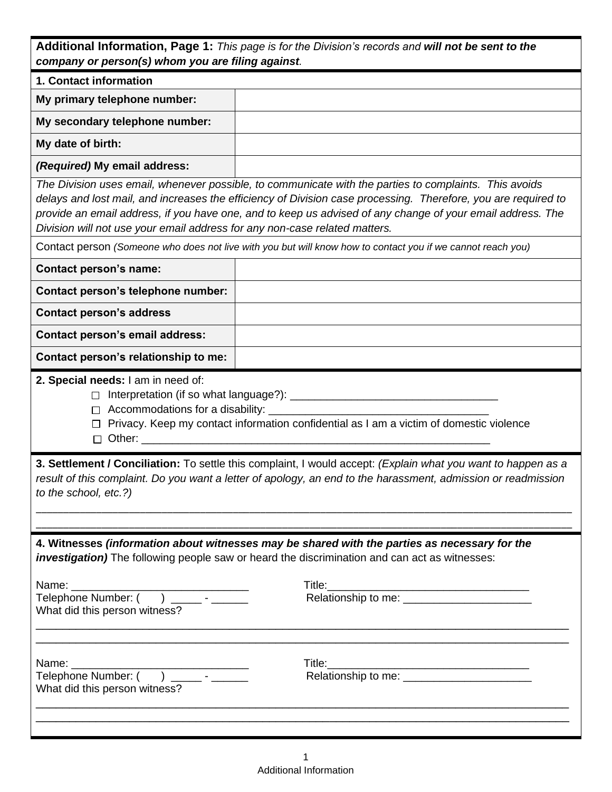| 1. Contact information                                                     |                                                                                                                                                                                                                                                                                                                                        |
|----------------------------------------------------------------------------|----------------------------------------------------------------------------------------------------------------------------------------------------------------------------------------------------------------------------------------------------------------------------------------------------------------------------------------|
| My primary telephone number:                                               |                                                                                                                                                                                                                                                                                                                                        |
| My secondary telephone number:                                             |                                                                                                                                                                                                                                                                                                                                        |
| My date of birth:                                                          |                                                                                                                                                                                                                                                                                                                                        |
| (Required) My email address:                                               |                                                                                                                                                                                                                                                                                                                                        |
| Division will not use your email address for any non-case related matters. | The Division uses email, whenever possible, to communicate with the parties to complaints. This avoids<br>delays and lost mail, and increases the efficiency of Division case processing. Therefore, you are required to<br>provide an email address, if you have one, and to keep us advised of any change of your email address. The |
|                                                                            | Contact person (Someone who does not live with you but will know how to contact you if we cannot reach you)                                                                                                                                                                                                                            |
| <b>Contact person's name:</b>                                              |                                                                                                                                                                                                                                                                                                                                        |
| Contact person's telephone number:                                         |                                                                                                                                                                                                                                                                                                                                        |
| <b>Contact person's address</b>                                            |                                                                                                                                                                                                                                                                                                                                        |
| <b>Contact person's email address:</b>                                     |                                                                                                                                                                                                                                                                                                                                        |
| Contact person's relationship to me:                                       |                                                                                                                                                                                                                                                                                                                                        |
| $\Box$<br>to the school, etc.?)                                            | Privacy. Keep my contact information confidential as I am a victim of domestic violence<br>3. Settlement / Conciliation: To settle this complaint, I would accept: (Explain what you want to happen as a<br>result of this complaint. Do you want a letter of apology, an end to the harassment, admission or readmission              |
|                                                                            |                                                                                                                                                                                                                                                                                                                                        |
| What did this person witness?                                              | 4. Witnesses (information about witnesses may be shared with the parties as necessary for the<br>investigation) The following people saw or heard the discrimination and can act as witnesses:<br>Relationship to me:                                                                                                                  |